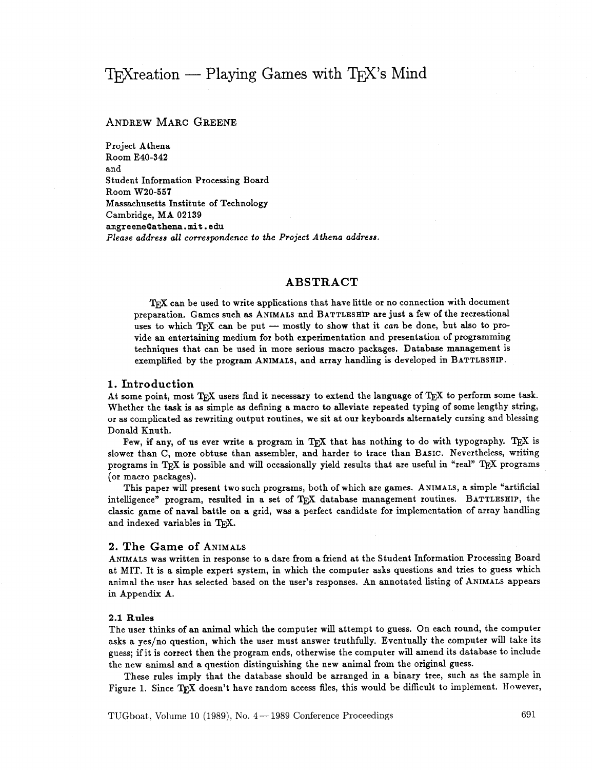# $TrX$  reation  $-$  Playing Games with  $TrX$ 's Mind

# ANDREW MARC GREENE

Project Athena Room **E40-342**  and Student Information Processing Board Room **W20-557**  Massachusetts Institute of Technology Cambridge, MA **02139**  amgreene0athena.mit.edu *Please address all correspondence to the Project Athena addrese.* 

# **ABSTRACT**

TEX can be used to write applications that have little or no connection with document preparation. Games such as ANIMALS and BATTLESHIP are just a few of the recreational TEX can be used to write applications that have little or no connection with document<br>preparation. Games such as ANIMALS and BATTLESHIP are just a few of the recreational<br>uses to which TEX can be put -- mostly to show that vide an entertaining medium for both experimentation and presentation of programming techniques that can be used in more serious macro packages. Database management is exemplified by the program ANIMALS, and array handling is developed in BATTLESHIP.

### **1. Introduction**

At some point, most TFX users find it necessary to extend the language of TFX to perform some task. Whether the task is as simple as defining a macro to alleviate repeated typing of some lengthy string, or as complicated as rewriting output routines, we sit at our keyboards alternately cursing and blessing Donald Knuth.

Few, if any, of us ever write a program in T<sub>R</sub>X that has nothing to do with typography. T<sub>R</sub>X is slower than C, more obtuse than assembler, and harder to trace than BASIC. Nevertheless, writing programs in TEX is possible and will occasionally yield results that are useful in "real" TEX programs (or macro packages).

This paper will present two such programs, both of which are games. ANIMALS, a simple "artificial intelligence" program, resulted in a set of TpX database management routines. BATTLESHIP, the classic game of naval battle on a grid, was a perfect candidate for implementation of array handling and indexed variables in TFX.

#### **2. The Game of ANIMALS**

ANIMALS was written in response to a dare from a friend at the Student Information Processing Board at MIT. It is a simple expert system, in which the computer asks questions and tries to guess which animal the user has selected based on the user's responses. An annotated listing of ANIMALS appears in Appendix A.

#### 2.1 **Rules**

The user thinks of an animal which the computer will attempt to guess. On each round, the computer asks a yes/no question, which the user must answer truthfully. Eventually the computer will take its guess; if it is correct then the program ends, otherwise the computer will amend its database to include the new animal and a question distinguishing the new animal from the original guess.

These rules imply that the database should be arranged in a binary tree, such as the sample in Figure 1. Since TEX doesn't have random access files, this would be difficult to implement. However,

TUGboat, Volume 10 (1989), No. 4 – 1989 Conference Proceedings 691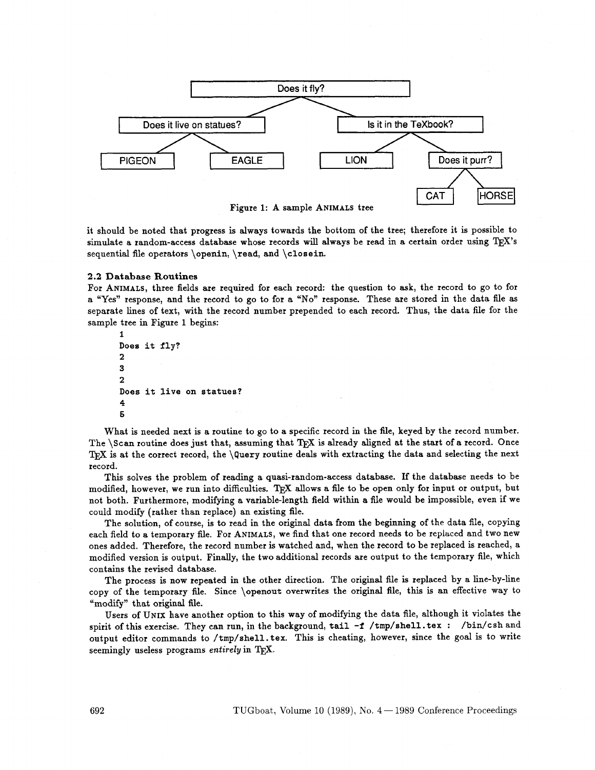

it should be noted that progress is always towards the bottom of the tree; therefore it is possible to simulate a random-access database whose records will always be read in a certain order using T<sub>E</sub>X's sequential fle operators \openin, \read, and \closein.

#### 2.2 **Database Routines**

For ANIMALS, three fields are required for each record: the question to ask, the record to go to for a "Yes" response, and the record to go to for a "No" response. These are stored in the data file as separate lines of text, with the record number prepended to each record. Thus, the data file for the sample tree in Figure 1 begins:<br>
1<br>
Pease in  $f^{1}$ sample tree in Figure 1 begins:

```
1<br>Does it fly?
2 
3
2 
Does it live on statues? 
4 
6
```
What is needed next is a routine to go to a specific record in the file, keyed by the record number. The  $\S$ can routine does just that, assuming that  $T_{\rm F}X$  is already aligned at the start of a record. Once TFX is at the correct record, the  $\Omega$ uery routine deals with extracting the data and selecting the next record.

This solves the problem of reading a quasi-random-access database. If the database needs to be modified, however, we run into difficulties. TEX allows a file to be open only for input or output, but not both. Furthermore, modifying a variable-length field within a file would be impossible, even if we could modify (rather than replace) an existing file.

The solution, of course, is to read in the original data from the beginning of the data file, copying each field to a temporary file. For ANIMALS, we find that one record needs to be replaced and two new ones added. Therefore, the record number is watched and, when the record to be replaced is reached, a modified version is output. Finally, the two additional records are output to the temporary file, which contains the revised database.

The process is now repeated in the other direction. The original file is replaced by a line-by-line copy of the temporary file. Since \openout overwrites the original file, this is an effective way to "modify" that original file.

Users of UNIX have another option to this way of modifying the data file, although it violates the spirit of this exercise. They can run, in the background, tail **-f** /tmp/shell. tex : /bin/csh and output editor commands to /tmp/shell. tex. This is cheating, however, since the goal is to write seemingly useless programs entirely in TFX.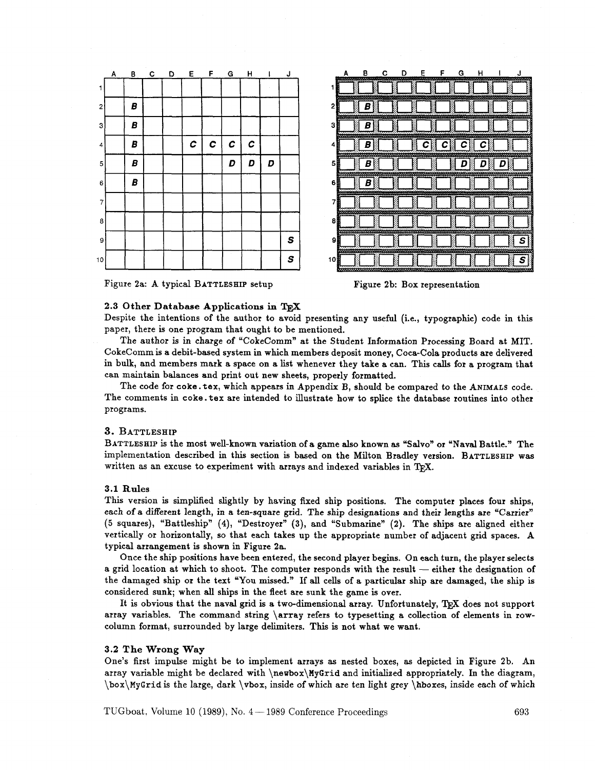

|   |   |  | E              | F              |                |                |   |                                     |
|---|---|--|----------------|----------------|----------------|----------------|---|-------------------------------------|
| 1 |   |  |                |                |                |                |   | N                                   |
| 2 | ۵ |  |                |                |                |                |   |                                     |
| 3 | B |  |                |                |                |                |   |                                     |
| 4 | B |  | $\overline{c}$ | $\overline{c}$ | $\overline{c}$ | $\overline{c}$ |   |                                     |
| 5 | B |  |                |                | D              | D              | D |                                     |
| 6 | B |  |                |                |                |                |   | a<br>Manazarta<br>Manazarta         |
| 7 |   |  |                |                |                |                |   | Į                                   |
| 8 |   |  |                |                |                |                |   | <b>Contract Contract</b>            |
| 9 |   |  |                |                |                |                |   | $\overline{\mathsf{s}}$ $\parallel$ |
| 0 |   |  |                |                |                |                |   | <b>Contract Contract</b><br>S       |

Figure 2a: A typical **BATTLESHIP** setup



# 2.3 **Other Database Applications in TEX**  -

Despite the intentions of the author to avoid presenting any useful (i.e., typographic) code in this paper, there is one program that ought to be mentioned.

1

The author is in charge of "CokeComm" at the Student Information Processing Board at MIT. CokeComm is a debit-based system in which members deposit money, Coca-Cola products are delivered in bulk, and members mark a space on a list whenever they take a can. This calls for a program that can maintain balances and print out new sheets, properly formatted.

The code for coke. tex, which appears in Appendix B, should be compared to the **ANIMALS** code. The comments in coke. tex are intended to illustrate how to splice the database routines into other programs.

#### **3. BATTLESHIP**

**BATTLESHIP** is the most well-known variation of a game **also** known **as** "Salvo" or "Naval Battle." The implementation described in this section is based on the Milton Bradley version. **BATTLESHIP** was written as an excuse to experiment with arrays and indexed variables in T<sub>F</sub>X.

#### 3.1 **Rules**

This version **is** simplified slightly by having fixed ship positions. The computer places four ships, each of a different length, **in** a ten-square grid. The ship designations and their lengths are "Carrier" (5 squares), UBattleshipn **(4),** "Destroyer" **(3),** and "Submarinen (2). The ships are aligned either vertically or horizontally, so that each takes up the appropriate number of adjacent grid spaces. A typical arrangement is shown in Figure 2a.

Once the ship positions have been entered, the second player begins. On each turn, the player selects typical arrangement is shown in Figure 2a.<br>
Once the ship positions have been entered, the second player begins. On each turn, the player selects<br>
a grid location at which to shoot. The computer responds with the result the damaged ship or the text "You missed." If all cells of a particular ship are damaged, the ship is considered sunk; when **all** ships in the fleet are sunk the game is over.

It is obvious that the naval grid is a two-dimensional array. Unfortunately, TFX does not support array variables. The command string \array refers to typesetting a collection of elements in rowcolumn format, surrounded by large delimiters. This is not what we want.

#### **3.2 The Wrong Way**

One's first impulse might be to implement arrays as nested boxes, as depicted in Figure 2b. An array variable might be declared with  $\newcommand{\mbox}{\mbox{argmin}}$  \newbox $\MyGrid$  and initialized appropriately. In the diagram, \box\~~~rid is thelarge, dark \vbox, inside of which are ten light grey \hboxes, inside each of which

TUGboat. Volume 10 (1989), No. 4 – 1989 Conference Proceedings 693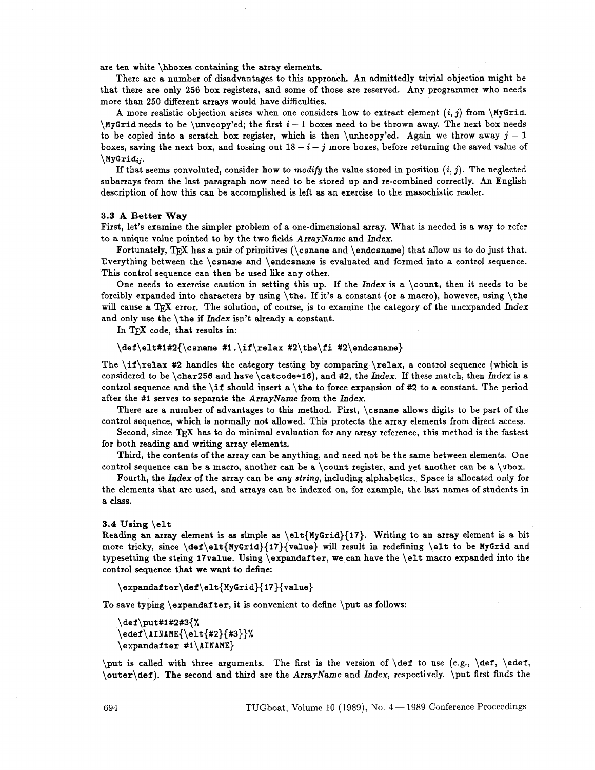are ten white \hboxes containing the array elements.

There are a number of disadvantages to this approach. An admittedly trivial objection might be that there are only 256 box registers, and some of those are reserved. Any programmer who needs more than 250 different arrays would have difficulties.

A more realistic objection arises when one considers how to extract element  $(i, j)$  from \MyGrid.  $\forall$ yGrid needs to be  $\uncopy$ 'ed; the first  $i-1$  boxes need to be thrown away. The next box needs to be copied into a scratch box register, which is then \unhcopy'ed. Again we throw away  $j-1$ boxes, saving the next box, and tossing out  $18 - i - j$  more boxes, before returning the saved value of  $\big\{\text{MyGrid}_{ij}.$ 

If that seems convoluted, consider how to modify the value stored in position  $(i, j)$ . The neglected subarrays from the last paragraph now need to be stored up and re-combined correctly. An English description of how this can be accomplished is left as an exercise to the masochistic reader.

#### **3.3** A **Better Way**

First, let's examine the simpler problem of a one-dimensional array. What is needed is a way to refer to a unique value pointed to by the two fields ArrayName and Index.

Fortunately, TEX has a pair of primitives ( $\cosh$  and  $\end{math}$  that allow us to do just that. Everything between the \csname and \endcsnarne is evaluated and formed into a control sequence. This control sequence can then be used like any other.

One needs to exercise caution in setting this up. If the Index is a \count, then it needs to be forcibly expanded into characters by using \the. If it's a constant (or a macro), however, using \the will cause a TEX error. The solution, of course, is to examine the category of the unexpanded Index and only use the  $\theta$  the if Index isn't already a constant.

In TFX code, that results in:

#### \def\elt#1#2{\csname #1.\if\relax #2\the\fi #2\endcsname}

The \if\relax **#2** handles the category testing by comparing \relax, a control sequence (which is considered to be \char256 and have \catcode=16), and #2, the Index. If these match, then Index is a control sequence and the \if should insert a \the to force expansion of **#2** to a constant. The period after the #1 serves to separate the ArrayName from the Index.

There are a number of advantages to this method. First, \csname allows digits to be part of the control sequence, which is normally not allowed. This protects the array elements from direct access.

Second, since TEX has to do minimal evaluation for any array reference, this method is the fastest for both reading and writing array elements.

Third, the contents of the array can be anything, and need not be the same between elements. One control sequence can be a macro, another can be a \count register, and yet another can be a  $\forall$  vbox.

Fourth, the hdex of the array can be any string, including alphabetics. Space is allocated only for the elements that are used, and arrays can be indexed on, for example, the last names of students in a class.

#### 3.4 **Using** \elt

Reading an array element is as simple as  $\ell_{MyGrid}{17}$ . Writing to an array element is a bit more tricky, since  $\def\{MyGrid}{MyGrid}{value}$  will result in redefining \elt to be MyGrid and typesetting the string 17value. Using \expandafter, we can have the \elt macro expanded into the control sequence that we want to define:

\expandafter\def\elt{MyGrid}{17}{value}

To save typing  $\exp\{t\}$  it is convenient to define  $\put$  as follows:

```
\def\put#1#2#3{%
\eder\LambdaIME{\ell+2}{#3}}\expandafter#1\AINAME}
```
 $\put$  is called with three arguments. The first is the version of  $\def$  to use (e.g.,  $\def$ ,  $\def$ \outer\def). The second and third are the ArrayName and Index, respectively. \put first finds the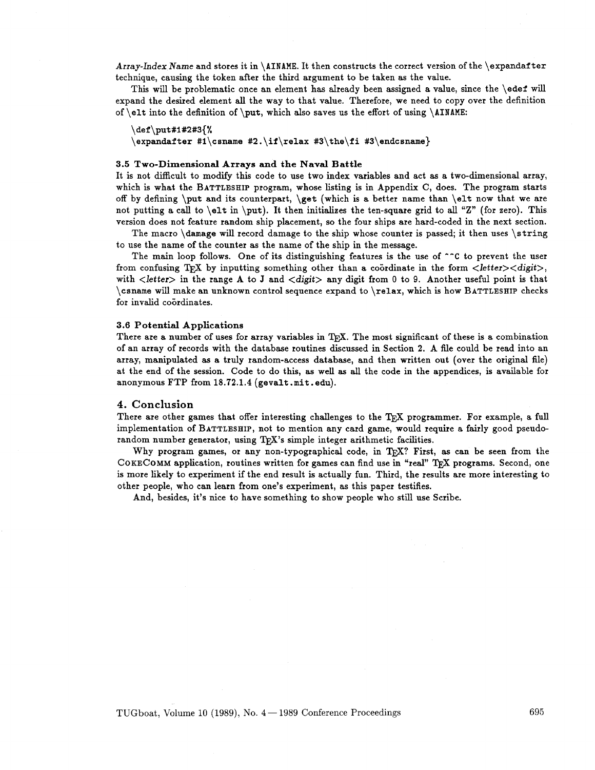Array-Index Name and stores it in \AINAME. It then constructs the correct version of the \expandafter technique, causing the token after the third argument to be taken as the value.

This will be problematic once an element has already been assigned a value, since the \edef will expand the desired element **all** the way to that value. Therefore, we need to copy over the definition of \elt into the definition of \put, which also saves us the effort of using \AINAME:

```
\det \put(0, 0)
```
\expandafter #1\csname #2.\if\relax #3\the\fi #3\endcsname}

#### 3.5 Two-Dimensional Arrays **and** the Naval Battle

It is not difficult to modify this code to use two index variables and act as a two-dimensional array, which is what the BATTLESHIP program, whose listing is in Appendix C, does. The program starts off by defining \put and its counterpart,  $\get$  (which is a better name than  $\elt$ now that we are not putting a call to  $\ell$ t in  $\put$ . It then initializes the ten-square grid to all "Z" (for zero). This version does not feature random ship placement, so the four ships are hard-coded in the next section.

The macro \damage will record damage to the ship whose counter is passed; it then uses \string to use the name of the counter **as** the name of the ship in the message.

The main loop follows. One of its distinguishing features is the use of **-^C** to prevent the user from confusing TEX by inputting something other than a coordinate in the form  $\langle\text{letter}\rangle\langle\text{digit}\rangle$ , with  $\langle$  letter> in the range A to J and  $\langle$  digit> any digit from 0 to 9. Another useful point is that \csname will make an unknown control sequence expand to \relax, which is how BATTLESHIP checks for invalid coordinates.

#### 3.6 Potential Applications

There are a number of uses for array variables in TpX. The most significant of these is a combination of an array of records with the database routines discussed in Section **2.** A fde could be read into an array, manipulated **as** a truly random-access database, and then written out (over the original file) at the end of the session. Code to do this, **as** well as all the code in the appendices, is available for anonymous FTP from **18.72.1.4** (gevalt .mit .edu).

#### 4. **Conclusion**

There are other games that offer interesting challenges to the TFX programmer. For example, a full implementation of BATTLESHIP, not to mention any card game, would require a fairly good pseudorandom number generator, using  $T_F X$ 's simple integer arithmetic facilities.

Why program games, or any non-typographical code, in  $T_F X$ ? First, as can be seen from the COKECOMM application, routines written for games can find use in "real" TFX programs. Second, one is more likely to experiment if the end result is actually fun. Third, the results are more interesting to other people, who can learn from one's experiment, as this paper testifies.

And, besides, it's nice to have something to show people who still use Scribe.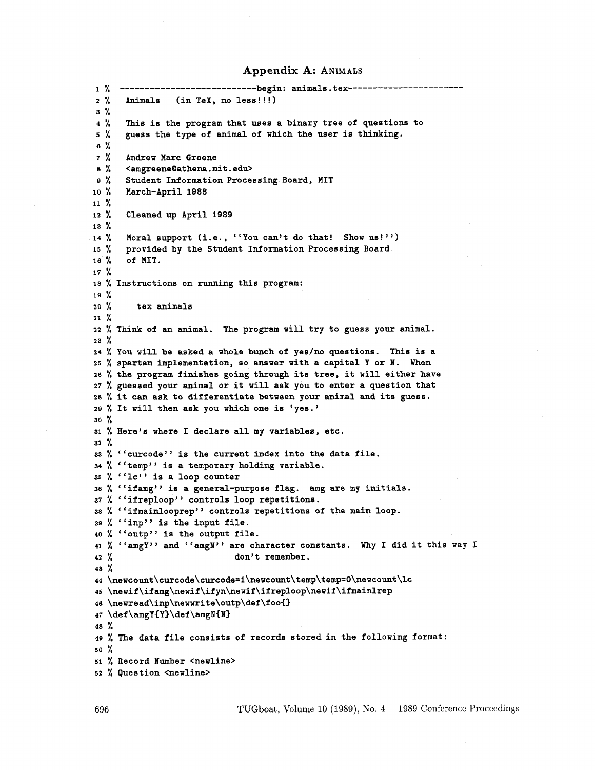# **Appendix A: ANIMALS**

1 % ----------------------------begin: animals.tex-------------------------% Animals (in TeX, no less! ! !) % % This is the program that uses a binary tree of questions to % guess the type of animal of which the user is thinking. % % Andrew Marc Greene % **<amgreene(Dathena.mit.edu>**  % Student Information Processing Board, MIT **lo** % March-April **1988**  % % Cleaned up April **1989**  % 14 % Moral support (i.e., "You can't do that! Show us!") % provided by the Student Information Processing Board % of MIT. % % Instructions on running this program: % % tex animals % % **Think** of an animal. The program will try to guess your animal. % % YOU will be asked a whole bunch of yes/no questions. This is a % Spartan implementation, so answer with a capital Y or **W.** When % the program finishes going through its tree, it will either have % guessed your animal or it will ask you to enter a question that % it can ask to differentiate between your animal and its guess. % It will then ask you which one is 'yes. ' % % Here's where I declare all my variables, etc. % 33 % "curcode" is the current index into the data file. 34 % "temp" is a temporary holding variable. 35 % "lc" is a loop counter % "ifamg" is a general-purpose flag. amg are my initials. 37 % "ifreploop" controls loop repetitions. % "ifmainlooprep" controls repetitions of the main loop. % "inp" is the input file. 40 % "outp" is the output file. 41 %  $"$ amgY" and  $"$ amgN" are character constants. Why I did it this way I<br>42 % don't remember. don't remember. % 44 \newcount\curcode\curcode=i\newcount\temp\temp=0\newcount\lc **\newif\ifamg\newif\ifp\newif\ifreploop\newif\ifmaidrep \newread\inp\newwrite\outp\def\foofi**  \def \amgY(Y)\def \amgN<N> % % The data file consists of records stored in the following format: % % Record Number <newline> % Question <newline>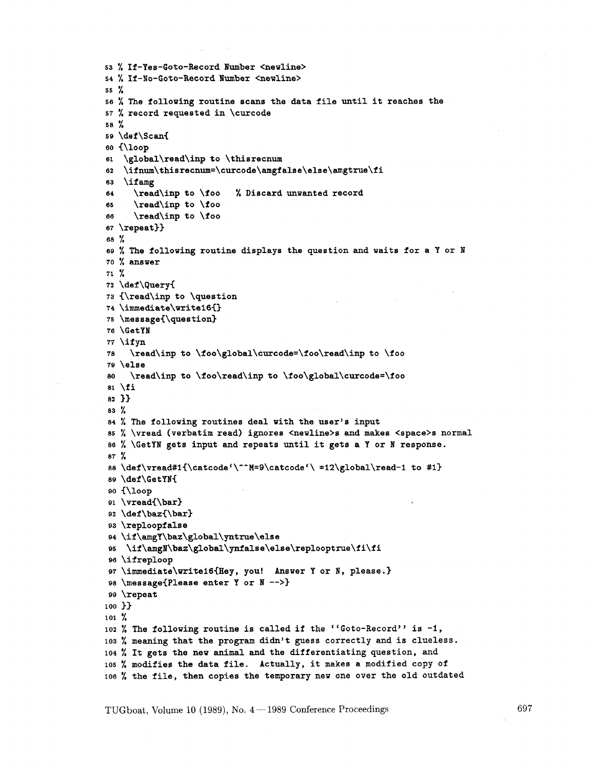```
/, If-Yes-Goto-Record lumber <newline> 
f, If-No-Goto-Record lumber <newline> 
% 
% The following routine scans the data file until it reaches the 
% record requested in \curcode 
58 \frac{9}{4}\def \Scan( 
{\loop 
\global\read\inp to \thisrecnum 
   \ifnum\thisrecnum=\curcode\amgfalse\else\amgtrue\fi
62
\if amg 
     \read\inp to \foo % Discard unwanted record 
64
     \read\inp to \foo 
65
     \read\inp to \foo 
66
\repeat33 
% 
% The following routine displays the question and waits for a Y or N 
% answer 
% 
\def \query( 
<\read\inp to \question 
\immediate\writei6<) 
\message~\question3 
\GetYN 
\if yn 
    \read\inp to \foo\global\curcode=\foo\read\inp to \foo 
78
\else 
    \read\inp to \foo\read\inp to \foo\global\curcode=\foo 
80
\overline{\phantom{a}31} \overline{\phantom{a}11}33 
83 Y
% The following routines deal with the user's input 
% \vread (verbatim read) ignores <newline>s and makes <space>s normal 
% \GetYN gets input and repeats until it gets a Y or N response. 
% 
88 \def\vread#1{\catcode'\^^M=9\catcode'\ =12\global\read-1 to #1}
\def \GetYN( 
<\loop 
\vread(\bar> 
\def\baz(\bar3 
\reploopfalse 
\if \amgY\baz\global\yntrue\else 
\if\amgN\baz\global\ynfalse\else\replooptrue\fi\fi 
\ifreploop 
\immediate\writel6(Hey, you! Answer Y or N, please.) 
\message(Please enter Y or N -->> 
\repeat 
100 }}
101 %
102 % The following routine is called if the ''Goto-Record'' is -1,
% meaning that the program didn't guess correctly and is clueless. 
% It gets the new animal and the differentiating question, and 
% modifies the data file. Actually, it makes a modified copy of 
% the file, then copies the temporary new one over the old outdated
```
TUGboat, Volume 10 (1989), No.  $4-1989$  Conference Proceedings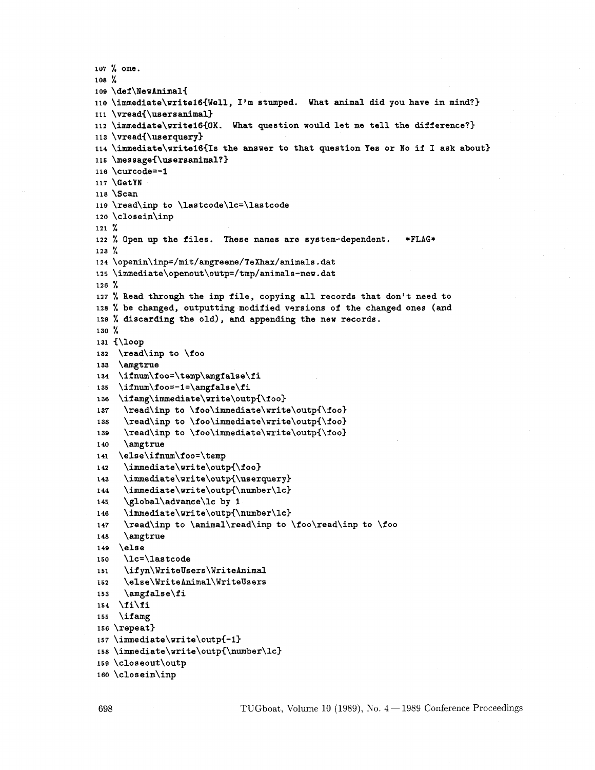```
107 % one. 
108 % 
109 \def\NewAnimal{
110 \immediate\writel6<Well, I'm stumped. What animal did you have in mind?) 
111 \vread(\usersanimal) 
112 \immediate\writel6(OK. What question would let me tell the difference?) 
113 \v{l}114\immediate\writeI6(Is the answer to that question Yes or No if I ask about) 
115 \message(\usersanimal?> 
116 \curcode=-I 
117 \GetYN 
118 \Scan 
110 \read\inp to \lastcode\lc=\lastcode 
120 \closein\inp 
121 % 
122 % Open up the files. These names are system-dependent. *FLAG* 
123 % 
124 \openin\inp=/mit/amgreene/TeXhax/animals.dat 
12s \immediate\openout\outp=/tmp/animals-new . dat 
126 % 
127 7, Read through the inp file, copying all records that don't need to 
128 % be changed, outputting modified versions of the changed ones (and 
129 % discarding the old), and appending the new records.
130 % 
131 (\loop 
132 \read\inp to \foo 
133 \amgtrue 
134 \ifnum\f oo=\temp\amgfalse\fi 
135 \ifnum\foo=-1=\amgfalse\fi
136 \ifamg\immediate\write\outp{\foo}
137 \read\inp to \foo\immediate\write\outp{\foo}
138 \read\inp to \foo\immediate\write\outp{\foo}
139 \read\inp to \foo\immediate\write\outp{\foo}
140 \amgtrue
141 \else\ifnum\foo=\temp 
142 \immediate\write\outp{\foo}
143 \imediate\write\outpi\userquery) 
144 \immediate\write\o~tp(\number\lc) 
145 \global\advance\lc by 1
146 \immediate\write\outp(\number\lc) 
147 \read\inp to \animal\read\inp to \foo\read\inp to \foo 
148 \amgtrue
149 \else
150 \lc=\lastcode 
151 \ifyn\WriteUsers\WriteAnimal 
152 \else\WriteAnimal\WriteUsers 
153 \amgfalse\f i 
154 \fi\fi 
155 \ifamg 
156 \text{repeat}157 \immediate\write\outp(-1) 
158 \immediate\write\outp(\number\lc) 
15s \closeout\outp 
160 \closein\inp
```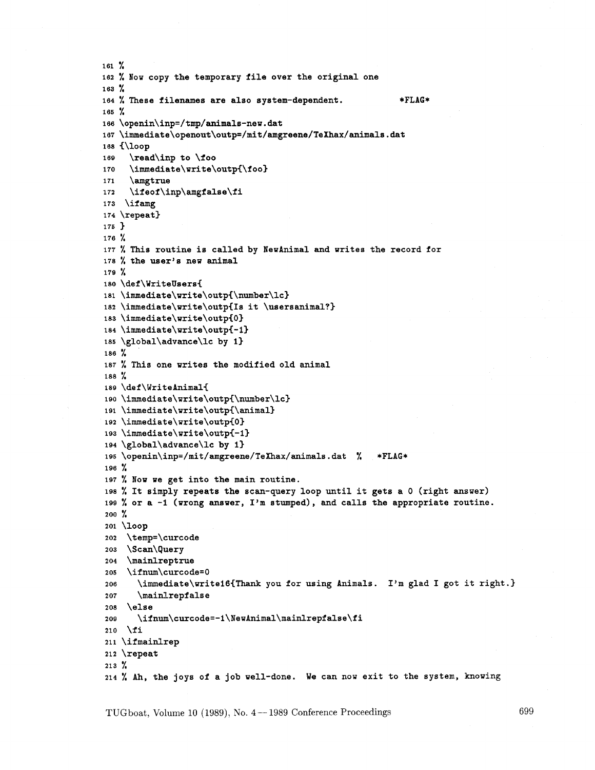```
161 % 
162 % low copy the temporary file over the original one 
163 % 
164 % These filenames are also system-dependent. *FLAG* 
165 % 
166\openin\inp=/tmp/animals-new . dat 
167 \immediate\openout\outp=/mit/amgreene/TeXhax/animals.dat
168 (\loop 
169 \read\inp to \foo 
170 \immediate\write\outp{\foo}
171 \amgtrue 
172 \ifeof\inp\amgfalse\fi
173 \ifamg 
174 \repeat) 
175 3 
176 % 
177 % This routine is called by NewAnimal and writes the record for 
178 % the user's new animal 
179 % 
180 \def\WriteUsers( 
181 \immediate\write\outp{\number\lc}
182 \immediate\write\o~tpCIs it \usersanimal?) 
183 \imath \immediate \write \outp{0}
184 \immediate\write\outp<-1) 
183\lmmediate\write\outp\or<br>184\immediate\write\outp{-1}<br>185\global\advance\lc by 1}
186 % 
187 % This one writes the modified old animal 
188 % 
189 \def \WriteAnimal( 
190 \immediate\write\outp{\number\lc}
191 \immediate\write\outp(\animal) 
192 \immediate\write\outpCO) 
193 \immediate\write\outp{-1}
194 \global\advance\lc by 1) 
195 \~penin\inp=/mit/amgreene/TeXhax/animals.dat % *FLAG* 
196 % 
197 % NOW we get into the main routine. 
is8 % It simply repeats the scan-query loop until it gets a 0 (right answer) 
199 % or a -1 (wrong answer, I'm stumped), and calls the appropriate routine. 
200 % 
201 \loop 
202 \temp=\curcode 
203 \Scan\query 
204 \mainlreptrue
205 \ifnum\curcode=O 
206 \immediate\writel6(Thank you for using Animals. I'm glad I got it right.} 
207 \mainlrepfalse
208 \else 
20s \ifnum\curcode=-l\~ewAnimal\mainlrepfalse\fi 
210 \foralli
211 \if mainlrep 
212 \repeat 
213 % 
214 % Ah, the joys of a job well-done. We can now exit to the system, knowing
```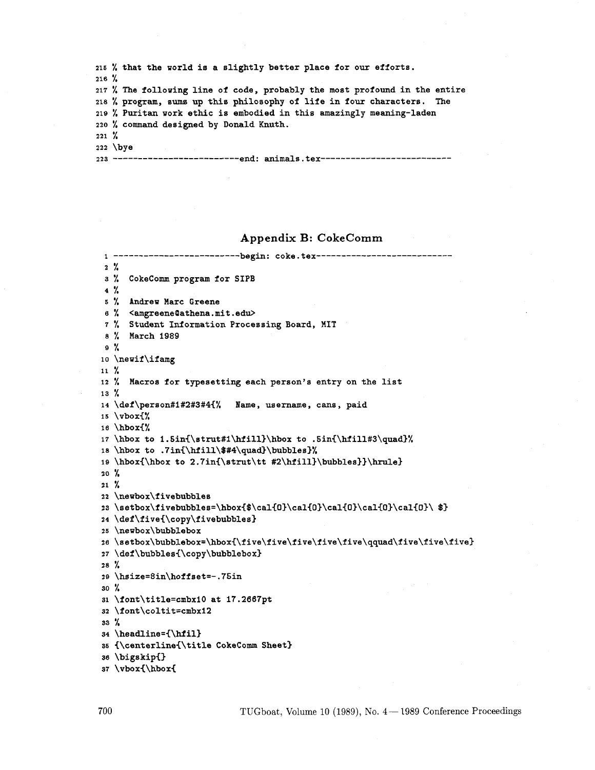|           | 215 % that the world is a slightly better place for our efforts.           |  |  |  |  |  |  |
|-----------|----------------------------------------------------------------------------|--|--|--|--|--|--|
| $216 \%$  |                                                                            |  |  |  |  |  |  |
|           | 217 % The following line of code, probably the most profound in the entire |  |  |  |  |  |  |
|           | 218 % program, sums up this philosophy of life in four characters. The     |  |  |  |  |  |  |
|           | 219 % Puritan work ethic is embodied in this amazingly meaning-laden       |  |  |  |  |  |  |
|           | 220 % command designed by Donald Knuth.                                    |  |  |  |  |  |  |
| $221 \%$  |                                                                            |  |  |  |  |  |  |
| $222$ bye |                                                                            |  |  |  |  |  |  |
|           | 223 ------------------------end: animals.tex------------                   |  |  |  |  |  |  |

# **Appendix B: CokeComm**

```
1......................... begin: coke.tex--------------------------- 
2 % 
3 % CokeComm program for SIPB 
4 % 
5 % Andrew Marc Greene 
6 % <amgreene(Dathena.mit.edu> 
7 % Student Information Processing Board, MIT 
 s % March 1989 
9 % 
lo \newif\ifamg 
11 % 
12 % Macros for typesetting each person's entry on the list 
13 % 
14 \def\person#1#2#3#4{% Name, username, cans, paid 
15 \v~ox{% 
16 \hbox{%
17 \hbox to i.5in{\strut#l\hfill)\hbox to .5in{\hfill#3\quad)% 
18 \hbox to .7in~\hfill\$#4\quad)\bubbles)% 
19 \hbox{\hbox to 2.7in{\strut\tt #2\hfill}\bubbles}}\hrule}
20 % 
21 % 
22 \newbox\fivebubbles 
23 \setbox\fivebubbles=\hbox{$\cal{O}\cal{O}\cal{O}\cal{O}\cal{O}\cal{O}\ $}
24 \def\five{\copy\fivebubbles}
25 \newbox\bubblebox 
26 \setbox\bubblebox=\hbox{\five\five\five\five\five\qquad\five\five\five) 
27 \def\bubbles{\copy\bubblebox) 
28 % 
ZQ \hsize=8in\hoffset=-.75in 
30 % 
31 \font\title=cmbxiO at 17.2667pt 
32 \font\coltit=cmbxl2 
33 % 
34 \headline={\hfil) 
35 {\centerline{\title CokeComm Sheet3 
36 \bigskip{) 
37 \vbox(\hbox{
```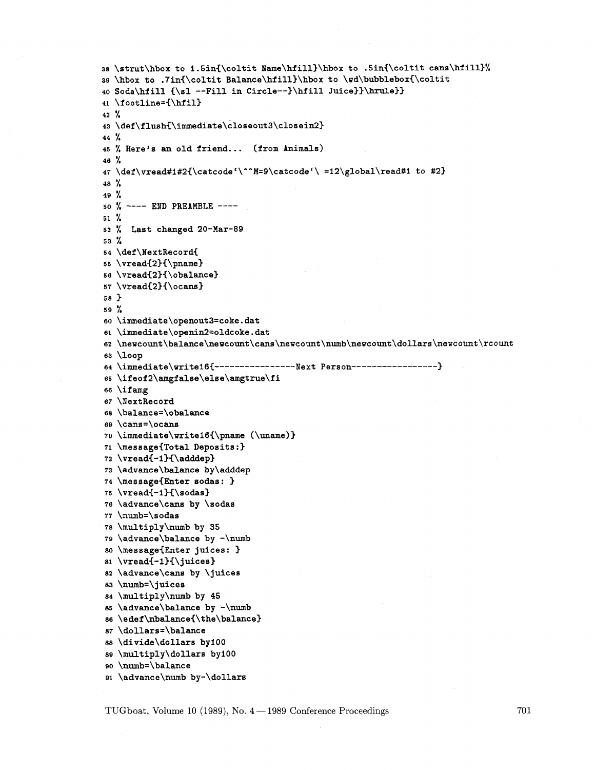```
38 \strut\hbox to 1.5in(\coltit ~ame\hfill)\hbox to .5in(\coltit cans\Mill>% 
39 \hbox to .7in{\coltit Balance\hfill}\hbox to \wd\bubblebox{\coltit
40 Soda\hfill {\sl --Fill in circle--)\Mill Juice)>\hrule)) 
41 \f ootline=C\hfil) 
42 % 
43 \def\flush{\immediate\closeout3\closein2}
44 % 
45 % Here's an old friend... (from Animals)
46 % 
47\def \vread#1#2{\catcode '\--M=S\catcode '\ =12\global\read#l to #23 
48 % 
49 % 
50% ---- END PREAMBLE ---- 
51 % 
52 % Last changed 20-Mar-89 
53 % 
54 \def\NextRecord( 
55 \vread{2)(\pname) 
56 \vread(2){\obalance) 
57 \vread{2}{\ocans}
583 
59 % 
60 \immediate\openout3=coke.dat 
61 \immediate\openin2=oldcoke. dat 
62 \newcount\balance\newcount\cans\newcount\numb\newcount\dollars\newcount\rcount
63 \loop 
64 \immediate\writel6<---------------- ~~~t person----------------- 3 
6s \ifeof2\amgfalse\else\amgtrue\fi 
66 \ifamg 
67 \NextRecord 
68 \balance=\obalance 
69 \cans=\ocans
70 \immediate\writel6(\pname (\uname)3 
71\message(Total Deposits :) 
72 \vread(-l)(\adddep) 
73 \advance\balance by\adddep 
74 \message(Enter sodas: 3 
75 \vread(-l>(\sodas) 
76 \advance\cans by \sodas 
77 \numb=\sodas 
78 \multiply\numb by 35 
79 \advance\balance by -\numb 
80 \message(Enter juices: 3 
81 \vread(-I)(\ juices) 
82 \advance\cans by \juices 
83 \numb=\juices 
84 \multiply\numb by 45 
85 \advance\balance by -\numb 
86 \edef \nbalance(\the\balance) 
87 \dollars=\balance 
88 \divide\dollars by100 
89 \multiply\dollars by100 
90 \numb=\balance 
91 \advance\numb by-\dollars
```
TUGboat, Volume 10 (1989), No.  $4-1989$  Conference Proceedings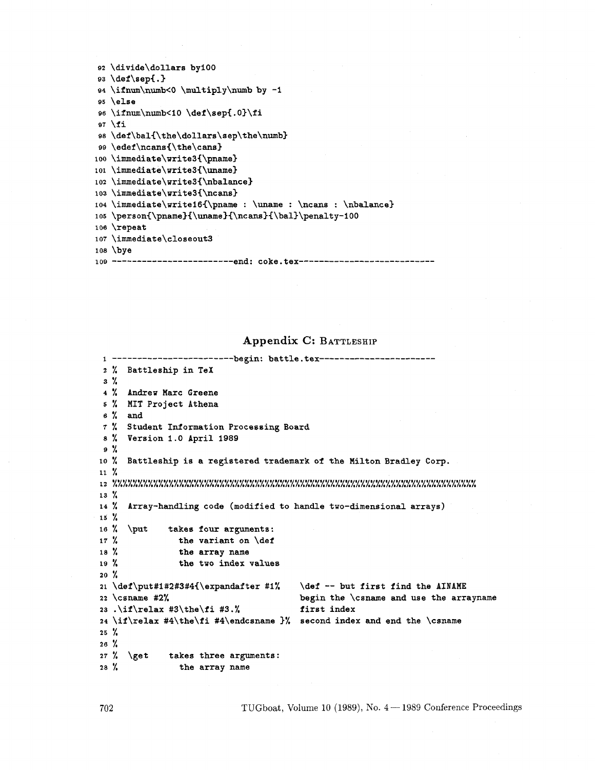```
92 \divide\dollars by100
93 \det\sep\{.\}94 \ifnum\numb<0 \multiply\numb by -1
95 \text{ }else
96 \ifnum\numb<10 \def\sep{.0}\fi
97 \overline{1}98 \def\bal{\the\dollars\sep\the\numb}
99 \edef\ncans{\the\cans}
100 \immediate\write3{\pname}
101 \immediate\write3{\uname}
102 \immediate\write3{\nbalance}
103 \immediate\write3{\ncans}
104 \immediate\write16{\pname : \uname : \ncans : \nbalance}
105 \person{\pname}{\uname}{\ncans}{\bal}\penalty-100
106 \repeat
107 \immediate\closeout3
108 \bye
109 ------------------------end: coke.tex----------------------------
```
**Appendix C: BATTLESHIP** 

```
1 -------------------------begin: battle.tex-------------------------
2 % Battleship in TeX 
3 % 
4 % Andrew Marc Greene 
5 % MIT Project Athena 
6 % and 
7 % Student Information Processing Board 
8% Version 1.0 April 1989 
9 % 
10% Battleship is a registered trademark of the Milton Bradley Corp. 
11 % 
12%'ttttL%%%%%%%%%'ttttL%%%'ftrL%YL%%%%%%%%'tttLYL%%YtL%%%YL%'tLftL%%'tL%%%'ttttL 
13\%14\%Array-handling code (modified to handle two-dimensional arrays) 
15 %
16\%\{\text{put}\}takes four arguments: 
17 \%the variant on \def 
18 \%the array name 
               the two index values 
19 \%20 \frac{1}{2}21 \def\put#1#2#3#4{\expandafter #1% \def -- but first find the AINAME
22 \csname #2% begin the \csname and use the arrayname 
23 .\if \relax #3\the\f i #3. % first index 
24 \if\relax #4\the\fi #4\endcsname 3% second index and end the \csname 
25 % 
26 % 
27 % \get takes three arguments: 
28 % the array name
```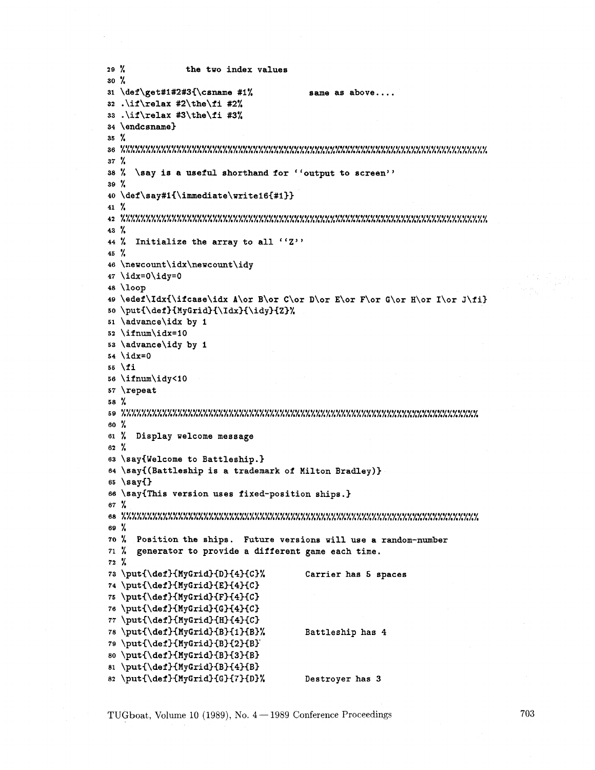```
29 % the two index values 
30 % 
31 \def \get#1#2#3{\csname #1% same as above....
32 .\if \relax #2\the\fi #2% 
33 .\if \relax #3\the\f i #3% 
34 \endcsname) 
35 % 
36%%'A%%%'A%'t/tt~A%'X'f~rtA'~A%'rrA%'rrA%'f/rrt~~A%'~~r/~h%'!tA%'~rrr/~A%'tA%'~A%'rflA%% 
37 % 
38 % \say is a useful shorthand for "output to screen"'
39 % 
40 \def\~ay#l<\immediate\write16<#1)) 
41 % 
42%%'l/ftA%'t~rrA%%'A%'~tA%'fA%'A%'t~tt~rA%'A%'A%'~h%%%'A%%'t/t~%'r~A%%'tlr/rr~rA%%%'t~%% 
43 % 
44 % Initialize the array to all ''Z''
45 % 
46 \newcount\idx\newcount\idy 
47 \idx=O\idy=O 
48 \loop 
49 \edef\Idx{\ifcase\idx A\or B\or C\or D\or E\or F\or G\or H\or I\or J\fi}
50 \put{\def}{MyGrid}{\Idx}{\idy}{Z}%
51 \advance\idx by 1 
52 \ifnum\idx=lO 
53 \advance\idy by 1 
54 \idx=O 
55 \fi 
56 \ifnum\idy<lO 
57 \repeat 
58 % 
5 9 %%%'A%'rrrttrlrrrrrtrrA%'rrtrrA%'rrrA%'A%'rrrA%'rrA%%'A%'A%'A%%'A%'A%'rtttrrA%'A%%'L% 
60 % 
61 % Display welcome message 
62 % 
63 \say<Welcome to Battleship.) 
64 \say<(Battleship is a trademark of Milton Bradley)) 
65 \say<) 
6s \say<This version uses fixed-position ships.) 
67 % 
68%%%%%%%%%%%'rlr~~rf~rA%'rlr~%'~fA%'rA%'~X'A%'~A%'A%'~/L%'~lA%'/lA%%%'~ttr/~/A%'l~A% 
69 % 
70 % Position the ships. Future versions will use a random-number 
71 % generator to provide a different game each time. 
72 % 
73 \put{\def}{MyGrid}{D}{4}{C}% Carrier has 5 spaces
74 \put{\def}{MyGrid}{E}{4}{C}
75 \put{\def}{MyGrid}{F}{4}{C}
76 \put{\def}{MyGrid}{G}{4}{C}
77 \put{\def}{MyGrid}{H}{4}{C}
78 \put{\def}{MyGrid}{B}{1}{B}% Battleship has 4
79 \put{\def}{MyGrid}{B}{2}{B}`
80 \put{\def}{MyGrid}{B}{3}{B}
81 \put{\def}{MyGrid}{B}{4}{B}
82 \put{\def}{MyGrid}{G}{7}{D}% Destroyer has 3
```
TUGboat, Volume 10 (1989), No.  $4 - 1989$  Conference Proceedings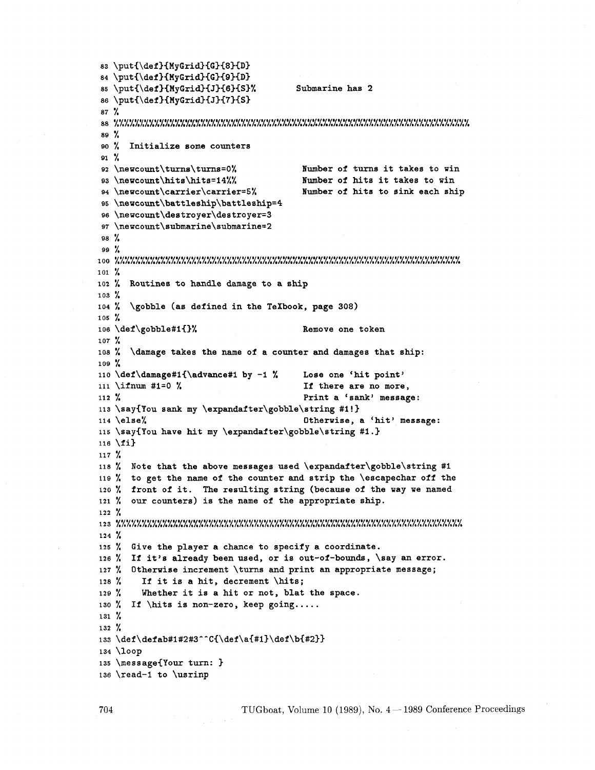```
83 \put{\def)(MyGrid)<G3{83{D> 
84 \put{\def}{MyGrid}{G}{9}{D}
85 \put{\def}{MyGrid}{J}{6}{S}% Submarine has 2
86 \put{\def}{MyGrid}{J}{7}{S}
87 % 
88%'ttttCrLrtttA%'LrLttrLttAY;ttrLtrrr~rLrrCttLrrrttrL/;trtttLrLrttrLrrrrLtA 
89 % 
so % Initialize some counters 
91 % 
92 \newcount\turns\turns=O% Number of turns it takes to win 
9s \newcount\hits\hits=i4%% Number of hits it takes to win 
94 \newcount\carrier\carrier=5% Number of hits to sink each ship
95 \newcount\battleship\battleship=4 
96 \newcount\destroyer\destroyer=3 
97 \newcount\submarine\8ubmarine=2 
98 % 
99 % 
100%%%%%%'ttttttA%%%%%%%'rtA%%'tA%%%%'tA%'ttttLA%%YttA%YtA%rtA%rA%'ttArtA%%'tA 
101 % 
102 % Routines to handle damage to a ship 
103 % 
104 % \gobble (as defined in the TeXbook, page 308) 
105 % 
106 \def \gobble#1{}% Remove one token
107 % 
108 % \damage takes the name of a counter and damages that ship: 
109 % 
110 \def\damage#l(\advance#l by -1 % Lose one 'hit point' 
111 \ifnum #1=0 % 11 there are no more,
112 % Print a 'sank' message: 
113\say{You sank my \expandafter\gobble\string #l ! 3 
114 \else% Otherwise, a 'hit' message: 
115 \say{You have hit my \expandafter\gobble\string #I.) 
11s \fi3 
117 % 
118 % Note that the above messages used \expandafter\gobble\string #I 
119 % to get the name of the counter and strip the \escapechar off the 
120 % front of it. The resulting string (because of the way we named 
121 % our counters) is the name of the appropriate ship. 
122 % 
1 2 3 %%%rA%~A%'A%%rA%'t~%'tt//A%'~fk%'Ltt/~~f~/t~t~///~/t/~/ft~~t/~/~/~~L/tt/k 
124 % 
125 % Give the player a chance to specify a coordinate. 
126 % If it's already been used, or is out-of-bounds, \say an error.
127 % Otherwise increment \turns and print an appropriate message;<br>128 % If it is a hit, decrement \hits:
        If it is a hit, decrement \hits;
129 '/. Whether it is a hit or not, blat the space. 
130 % If \hits is non-zero, keep going.....
131 % 
132 % 
133 \def\defab#1#2#3^^C{\def\a{#1}\def\b{#2}}
134 \loop 
135 \message{Your turn: 3 
136 \read-I to \usrinp
```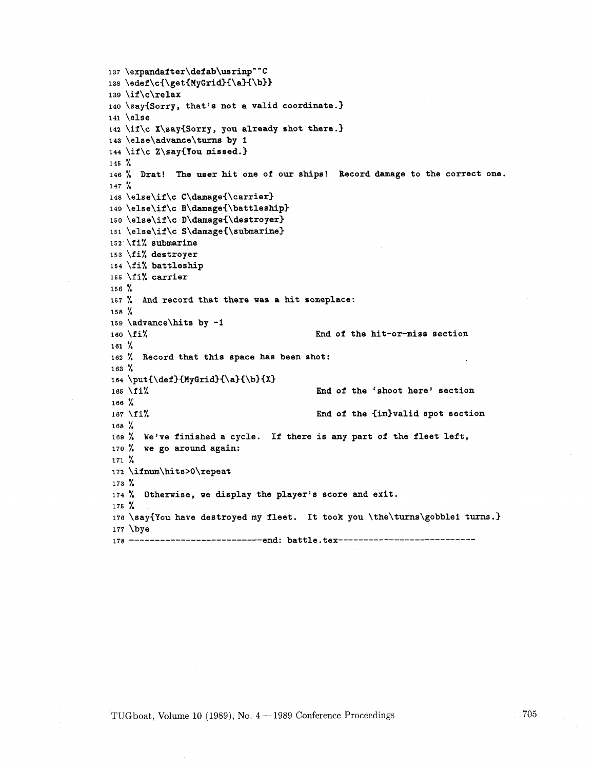```
137 \expandafter\defab\usrinp^^C
138 \edef\c{\get{MyGrid}{\a}{\b}}
139 \if \c\relax 
140 \say{Sorry, that's not a valid coordinate.}
141 \else 
142\if\c X\say(Sorry , you already shot there .3 
143 \else\advance\turns by I 
144 \if \C Z\say(You missed. 3 
145 % 
146 % Drat! The user hit one of our ships! Record damage to the correct one. 
147 % 
148 \else\if\c C\damage{\carrier}
149 \else\if\c B\damage{\battleship}
150 \else\if\c D\damage{\destroyer}
151 \else\if\c S\damage{\submarine}
152 \fi% submarine
153 \fi% destroyer
154 \fi% battleship
155 \fi% carrier
156 % 
157 % And record that there was a hit someplace: 
158 % 
159 \advance\hits by -1 
160 \fi% End of the hit-or-miss section 
161 % 
162 % Record that this space has been shot: 
163 % 
164 \put{\def}{MyGrid}{\a}{\b}{X}
165 \fi<sup>y</sup> End of the 'shoot here' section
lee % 
167 \fi<sup>y</sup> End of the {in}valid spot section
188 % 
169 % We've finished a cycle. If there is any part of the fleet left, 
170 % we go around again: 
171 % 
172 \if num\hits>O\repeat 
173 % 
174 % Otherwise, we display the player's score and exit. 
175 % 
176 \say(You have destroyed my fleet. It took you \the\turns\gobblei turns.) 
177 \bye 
178 ----------------------------- end: battle.tex-------------------------------
```
TUGboat, Volume 10 (1989), No.  $4 - 1989$  Conference Proceedings